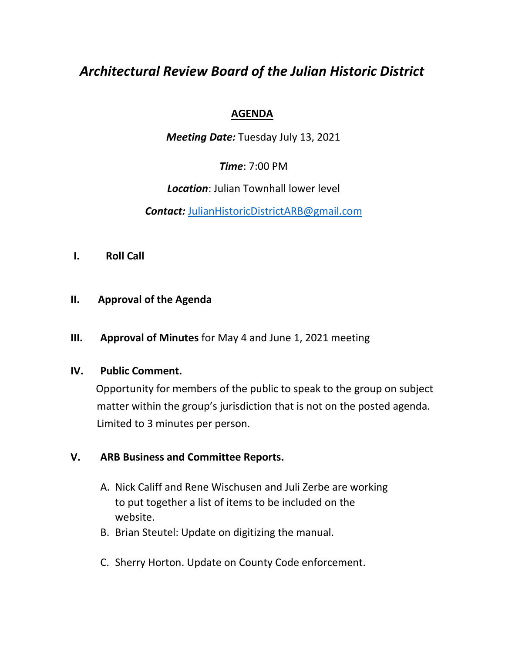# *Architectural Review Board of the Julian Historic District*

## **AGENDA**

*Meeting Date:* Tuesday July 13, 2021

*Time*: 7:00 PM

*Location*: Julian Townhall lower level

*Contact:* [JulianHistoricDistrictARB@gmail.com](mailto:JulianHistoricDistrictARB@gmail.com)

**I. Roll Call** 

#### **II. Approval of the Agenda**

**III. Approval of Minutes** for May 4 and June 1, 2021 meeting

#### **IV. Public Comment.**

 Opportunity for members of the public to speak to the group on subject matter within the group's jurisdiction that is not on the posted agenda. Limited to 3 minutes per person.

## **V. ARB Business and Committee Reports.**

- A. Nick Califf and Rene Wischusen and Juli Zerbe are working to put together a list of items to be included on the website.
- B. Brian Steutel: Update on digitizing the manual.
- C. Sherry Horton. Update on County Code enforcement.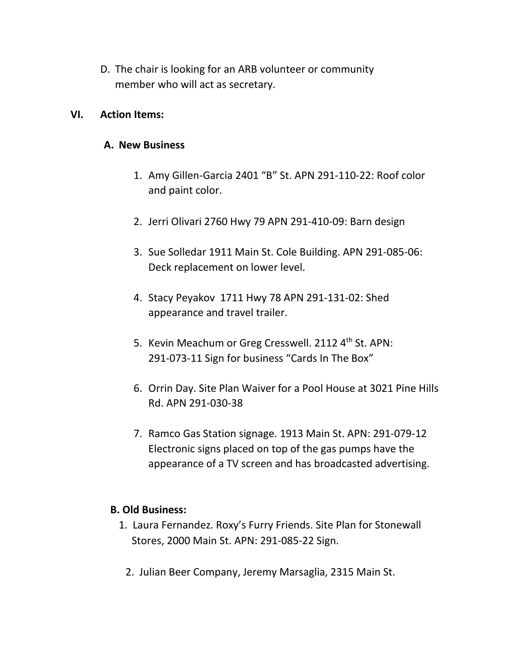D. The chair is looking for an ARB volunteer or community member who will act as secretary.

#### **VI. Action Items:**

#### **A. New Business**

- 1. Amy Gillen-Garcia 2401 "B" St. APN 291-110-22: Roof color and paint color.
- 2. Jerri Olivari 2760 Hwy 79 APN 291-410-09: Barn design
- 3. Sue Solledar 1911 Main St. Cole Building. APN 291-085-06: Deck replacement on lower level.
- 4. Stacy Peyakov 1711 Hwy 78 APN 291-131-02: Shed appearance and travel trailer.
- 5. Kevin Meachum or Greg Cresswell. 2112 4<sup>th</sup> St. APN: 291-073-11 Sign for business "Cards In The Box"
- 6. Orrin Day. Site Plan Waiver for a Pool House at 3021 Pine Hills Rd. APN 291-030-38
- 7. Ramco Gas Station signage. 1913 Main St. APN: 291-079-12 Electronic signs placed on top of the gas pumps have the appearance of a TV screen and has broadcasted advertising.

## **B. Old Business:**

- 1. Laura Fernandez. Roxy's Furry Friends. Site Plan for Stonewall Stores, 2000 Main St. APN: 291-085-22 Sign.
	- 2. Julian Beer Company, Jeremy Marsaglia, 2315 Main St.